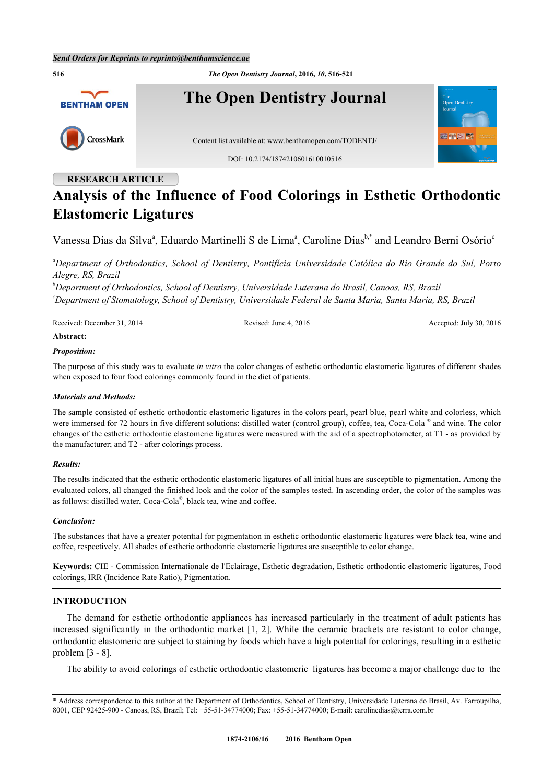**516** *The Open Dentistry Journal***, 2016,** *10***, 516-521 The Open Dentistry Journal BENTHAM OPEN** CrossMark Content list available at: [www.benthamopen.com/TODENTJ/](http://www.benthamopen.com/TODENTJ/) DOI: [10.2174/1874210601610010516](http://dx.doi.org/10.2174/1874210601610010516)

# **RESEARCH ARTICLE**

# **Analysis of the Influence of Food Colorings in Esthetic Orthodontic Elastomeric Ligatures**

V[a](#page-0-0)nessa Dias da Silva<sup>a</sup>, Eduardo Martinelli S de Lima<sup>a</sup>, Caroline Dias<sup>[b](#page-0-1),[\\*](#page-0-2)</sup> and Leandro Berni Osório<sup>[c](#page-0-3)</sup>

<span id="page-0-0"></span>*<sup>a</sup>Department of Orthodontics, School of Dentistry, Pontifícia Universidade Católica do Rio Grande do Sul, Porto Alegre, RS, Brazil*

<span id="page-0-3"></span><span id="page-0-1"></span>*<sup>b</sup>Department of Orthodontics, School of Dentistry, Universidade Luterana do Brasil, Canoas, RS, Brazil <sup>c</sup>Department of Stomatology, School of Dentistry, Universidade Federal de Santa Maria, Santa Maria, RS, Brazil*

| Received: December 31, 2014 | Revised: June 4, 2016 | Accepted: July 30, 2016 |
|-----------------------------|-----------------------|-------------------------|
| Abstract:                   |                       |                         |

# *Proposition:*

The purpose of this study was to evaluate *in vitro* the color changes of esthetic orthodontic elastomeric ligatures of different shades when exposed to four food colorings commonly found in the diet of patients.

# *Materials and Methods:*

The sample consisted of esthetic orthodontic elastomeric ligatures in the colors pearl, pearl blue, pearl white and colorless, which were immersed for 72 hours in five different solutions: distilled water (control group), coffee, tea, Coca-Cola ® and wine. The color changes of the esthetic orthodontic elastomeric ligatures were measured with the aid of a spectrophotometer, at T1 - as provided by the manufacturer; and T2 - after colorings process.

# *Results:*

The results indicated that the esthetic orthodontic elastomeric ligatures of all initial hues are susceptible to pigmentation. Among the evaluated colors, all changed the finished look and the color of the samples tested. In ascending order, the color of the samples was as follows: distilled water, Coca-Cola® , black tea, wine and coffee.

# *Conclusion:*

The substances that have a greater potential for pigmentation in esthetic orthodontic elastomeric ligatures were black tea, wine and coffee, respectively. All shades of esthetic orthodontic elastomeric ligatures are susceptible to color change.

**Keywords:** CIE - Commission Internationale de l'Eclairage, Esthetic degradation, Esthetic orthodontic elastomeric ligatures, Food colorings, IRR (Incidence Rate Ratio), Pigmentation.

# **INTRODUCTION**

The demand for esthetic orthodontic appliances has increased particularly in the treatment of adult patients has increased significantly in the orthodontic market[[1,](#page-4-0) [2](#page-4-1)]. While the ceramic brackets are resistant to color change, orthodontic elastomeric are subject to staining by foods which have a high potential for colorings, resulting in a esthetic problem [[3](#page-4-2) - [8](#page-5-0)].

The ability to avoid colorings of esthetic orthodontic elastomeric ligatures has become a major challenge due to the

<span id="page-0-2"></span><sup>\*</sup> Address correspondence to this author at the Department of Orthodontics, School of Dentistry, Universidade Luterana do Brasil, Av. Farroupilha, 8001, CEP 92425-900 - Canoas, RS, Brazil; Tel: +55-51-34774000; Fax: +55-51-34774000; E-mail: [carolinedias@terra.com.br](mailto:carolinedias@terra.com.br)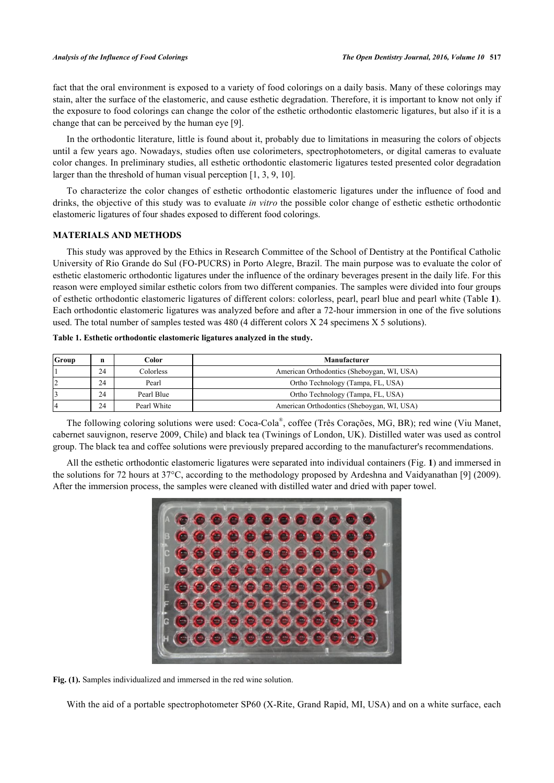fact that the oral environment is exposed to a variety of food colorings on a daily basis. Many of these colorings may stain, alter the surface of the elastomeric, and cause esthetic degradation. Therefore, it is important to know not only if the exposure to food colorings can change the color of the esthetic orthodontic elastomeric ligatures, but also if it is a change that can be perceived by the human eye [\[9](#page-5-1)].

In the orthodontic literature, little is found about it, probably due to limitations in measuring the colors of objects until a few years ago. Nowadays, studies often use colorimeters, spectrophotometers, or digital cameras to evaluate color changes. In preliminary studies, all esthetic orthodontic elastomeric ligatures tested presented color degradation larger than the threshold of human visual perception [[1,](#page-4-0) [3,](#page-4-2) [9,](#page-5-1) [10\]](#page-5-2).

To characterize the color changes of esthetic orthodontic elastomeric ligatures under the influence of food and drinks, the objective of this study was to evaluate *in vitro* the possible color change of esthetic esthetic orthodontic elastomeric ligatures of four shades exposed to different food colorings.

# **MATERIALS AND METHODS**

This study was approved by the Ethics in Research Committee of the School of Dentistry at the Pontifical Catholic University of Rio Grande do Sul (FO-PUCRS) in Porto Alegre, Brazil. The main purpose was to evaluate the color of esthetic elastomeric orthodontic ligatures under the influence of the ordinary beverages present in the daily life. For this reason were employed similar esthetic colors from two different companies. The samples were divided into four groups of esthetic orthodontic elastomeric ligatures of different colors: colorless, pearl, pearl blue and pearl white (Table **[1](#page-1-0)**). Each orthodontic elastomeric ligatures was analyzed before and after a 72-hour immersion in one of the five solutions used. The total number of samples tested was 480 (4 different colors X 24 specimens X 5 solutions).

<span id="page-1-0"></span>

| Table 1. Esthetic orthodontic elastomeric ligatures analyzed in the study. |  |  |
|----------------------------------------------------------------------------|--|--|
|                                                                            |  |  |

| Group | $\mathbf n$ | Color       | Manufacturer                               |
|-------|-------------|-------------|--------------------------------------------|
|       | 24          | Colorless   | American Orthodontics (Sheboygan, WI, USA) |
|       | 24          | Pearl       | Ortho Technology (Tampa, FL, USA)          |
|       | 24          | Pearl Blue  | Ortho Technology (Tampa, FL, USA)          |
|       | 24          | Pearl White | American Orthodontics (Sheboygan, WI, USA) |

The following coloring solutions were used: Coca-Cola® , coffee (Três Corações, MG, BR); red wine (Viu Manet, cabernet sauvignon, reserve 2009, Chile) and black tea (Twinings of London, UK). Distilled water was used as control group. The black tea and coffee solutions were previously prepared according to the manufacturer's recommendations.

All the esthetic orthodontic elastomeric ligatures were separated into individual containers (Fig. **[1](#page-1-1)**) and immersed in the solutions for 72 hours at 37°C, according to the methodology proposed by Ardeshna and Vaidyanathan [[9](#page-5-1)] (2009). After the immersion process, the samples were cleaned with distilled water and dried with paper towel.

<span id="page-1-1"></span>

**Fig. (1).** Samples individualized and immersed in the red wine solution.

With the aid of a portable spectrophotometer SP60 (X-Rite, Grand Rapid, MI, USA) and on a white surface, each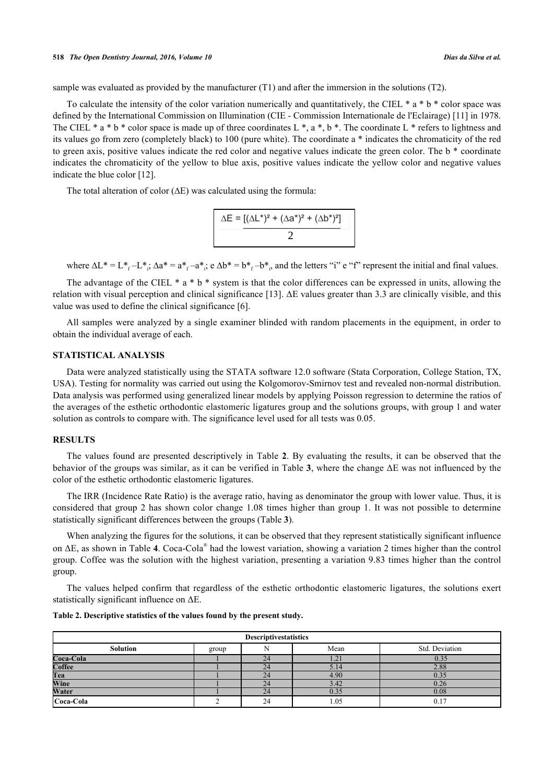sample was evaluated as provided by the manufacturer (T1) and after the immersion in the solutions (T2).

To calculate the intensity of the color variation numerically and quantitatively, the CIEL  $* a * b *$  color space was defined by the International Commission on Illumination (CIE - Commission Internationale de l'Eclairage) [[11\]](#page-5-3) in 1978. The CIEL  $* a * b * color space is made up of three coordinates L*, a*, b*. The coordinate L * refers to lightness and$ its values go from zero (completely black) to 100 (pure white). The coordinate a \* indicates the chromaticity of the red to green axis, positive values indicate the red color and negative values indicate the green color. The b \* coordinate indicates the chromaticity of the yellow to blue axis, positive values indicate the yellow color and negative values indicate the blue color [[12\]](#page-5-4).

The total alteration of color (∆E) was calculated using the formula:

$$
\Delta E = \frac{[(\Delta L^*)^2 + (\Delta a^*)^2 + (\Delta b^*)^2]}{2}
$$

where  $\Delta L^* = L^*_{f} - L^*_{i}$ ;  $\Delta a^* = a^*_{f} - a^*_{i}$ ; e  $\Delta b^* = b^*_{f} - b^*_{i}$ , and the letters "i" e "f" represent the initial and final values.

The advantage of the CIEL  $* a * b *$  system is that the color differences can be expressed in units, allowing the relation with visual perception and clinical significance [[13](#page-5-5)]. ΔE values greater than 3.3 are clinically visible, and this value was used to define the clinical significance [\[6](#page-5-6)].

All samples were analyzed by a single examiner blinded with random placements in the equipment, in order to obtain the individual average of each.

## **STATISTICAL ANALYSIS**

Data were analyzed statistically using the STATA software 12.0 software (Stata Corporation, College Station, TX, USA). Testing for normality was carried out using the Kolgomorov-Smirnov test and revealed non-normal distribution. Data analysis was performed using generalized linear models by applying Poisson regression to determine the ratios of the averages of the esthetic orthodontic elastomeric ligatures group and the solutions groups, with group 1 and water solution as controls to compare with. The significance level used for all tests was 0.05.

### **RESULTS**

The values found are presented descriptively in Table **[2](#page-2-0)**. By evaluating the results, it can be observed that the behavior of the groups was similar, as it can be verified in Table **[3](#page-3-0)**, where the change ΔE was not influenced by the color of the esthetic orthodontic elastomeric ligatures.

The IRR (Incidence Rate Ratio) is the average ratio, having as denominator the group with lower value. Thus, it is considered that group 2 has shown color change 1.08 times higher than group 1. It was not possible to determine statistically significant differences between the groups (Table **[3](#page-3-0)**).

When analyzing the figures for the solutions, it can be observed that they represent statistically significant influence on ΔE, as shown in Table **[4](#page-3-1)**. Coca-Cola® had the lowest variation, showing a variation 2 times higher than the control group. Coffee was the solution with the highest variation, presenting a variation 9.83 times higher than the control group.

The values helped confirm that regardless of the esthetic orthodontic elastomeric ligatures, the solutions exert statistically significant influence on ΔE.

| <b>Descriptivestatistics</b> |       |    |                     |                |  |  |
|------------------------------|-------|----|---------------------|----------------|--|--|
| <b>Solution</b>              | group |    | Mean                | Std. Deviation |  |  |
| Coca-Cola<br>Coffee          |       | 24 | $\bigcap$ 1<br>1.21 | 0.35           |  |  |
|                              |       | 24 | 5.14                | 2.88           |  |  |
| Tea                          |       | 24 | 4.90                | 0.35           |  |  |
| Wine                         |       | 24 | 3.42                | 0.26           |  |  |
| Water                        |       | 24 | 0.35                | 0.08           |  |  |
| Coca-Cola                    |       | 24 | 1.05                | 0.17           |  |  |

<span id="page-2-0"></span>**Table 2. Descriptive statistics of the values found by the present study.**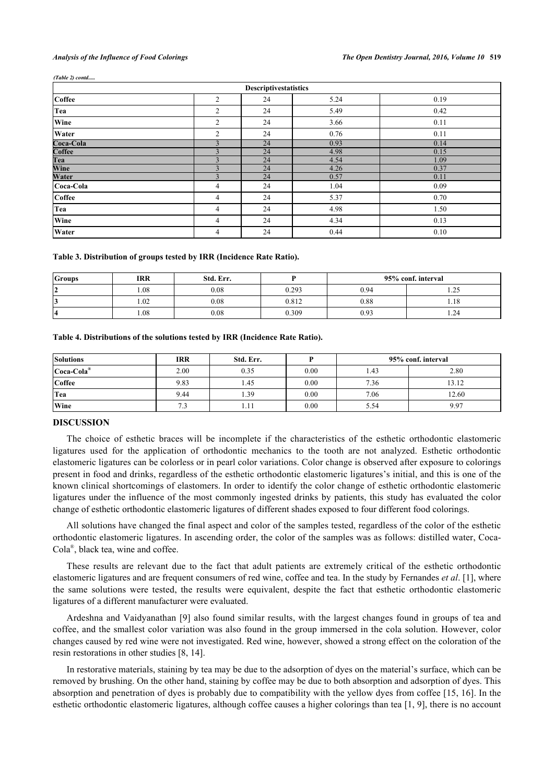*(Table 2) contd.....*

| Descriptivestatistics              |                |    |      |      |  |  |
|------------------------------------|----------------|----|------|------|--|--|
| Coffee                             | 2              | 24 | 5.24 | 0.19 |  |  |
| Tea                                | $\overline{2}$ | 24 | 5.49 | 0.42 |  |  |
| Wine                               | $\overline{c}$ | 24 | 3.66 | 0.11 |  |  |
| Water                              | 2              | 24 | 0.76 | 0.11 |  |  |
| Coca-Cola<br>Coffee<br>Tea<br>Wine |                | 24 | 0.93 | 0.14 |  |  |
|                                    |                | 24 | 4.98 | 0.15 |  |  |
|                                    |                | 24 | 4.54 | 1.09 |  |  |
|                                    |                | 24 | 4.26 | 0.37 |  |  |
| Water                              |                | 24 | 0.57 | 0.11 |  |  |
| Coca-Cola                          | 4              | 24 | 1.04 | 0.09 |  |  |
| Coffee                             | 4              | 24 | 5.37 | 0.70 |  |  |
| Tea                                | $\overline{4}$ | 24 | 4.98 | 1.50 |  |  |
| Wine                               | 4              | 24 | 4.34 | 0.13 |  |  |
| Water                              | 4              | 24 | 0.44 | 0.10 |  |  |

#### <span id="page-3-0"></span>**Table 3. Distribution of groups tested by IRR (Incidence Rate Ratio).**

| <b>Groups</b> | <b>IRR</b> | Std. Err. |       | 95% conf. interval |                    |
|---------------|------------|-----------|-------|--------------------|--------------------|
| L             | .08        | 0.08      | 0.293 | 0.94               | $\sim$ $\sim$<br>_ |
| IJ            | .02        | 0.08      | 0.812 | $_{0.88}$          | 1.18               |
|               | 1.08       | 0.08      | 0.309 | 0.93               | $\sim$<br>I . 24   |

#### <span id="page-3-1"></span>**Table 4. Distributions of the solutions tested by IRR (Incidence Rate Ratio).**

| <b>Solutions</b> | <b>IRR</b> | Std. Err. |      | 95% conf. interval |       |
|------------------|------------|-----------|------|--------------------|-------|
| Coca-Cola®       | 2.00       | 0.35      | 0.00 | 1.43               | 2.80  |
| Coffee           | 9.83       | 1.45      | 0.00 | 7.36               | 13.12 |
| Tea              | 9.44       | . 39      | 0.00 | 7.06               | 12.60 |
| Wine             |            | 1.11      | 0.00 | 5.54               | 9.97  |

# **DISCUSSION**

The choice of esthetic braces will be incomplete if the characteristics of the esthetic orthodontic elastomeric ligatures used for the application of orthodontic mechanics to the tooth are not analyzed. Esthetic orthodontic elastomeric ligatures can be colorless or in pearl color variations. Color change is observed after exposure to colorings present in food and drinks, regardless of the esthetic orthodontic elastomeric ligatures's initial, and this is one of the known clinical shortcomings of elastomers. In order to identify the color change of esthetic orthodontic elastomeric ligatures under the influence of the most commonly ingested drinks by patients, this study has evaluated the color change of esthetic orthodontic elastomeric ligatures of different shades exposed to four different food colorings.

All solutions have changed the final aspect and color of the samples tested, regardless of the color of the esthetic orthodontic elastomeric ligatures. In ascending order, the color of the samples was as follows: distilled water, Coca-Cola® , black tea, wine and coffee.

These results are relevant due to the fact that adult patients are extremely critical of the esthetic orthodontic elastomeric ligatures and are frequent consumers of red wine, coffee and tea. In the study by Fernandes *et al*. [[1\]](#page-4-0), where the same solutions were tested, the results were equivalent, despite the fact that esthetic orthodontic elastomeric ligatures of a different manufacturer were evaluated.

Ardeshna and Vaidyanathan [\[9](#page-5-1)] also found similar results, with the largest changes found in groups of tea and coffee, and the smallest color variation was also found in the group immersed in the cola solution. However, color changes caused by red wine were not investigated. Red wine, however, showed a strong effect on the coloration of the resin restorations in other studies [[8,](#page-5-0) [14\]](#page-5-7).

In restorative materials, staining by tea may be due to the adsorption of dyes on the material's surface, which can be removed by brushing. On the other hand, staining by coffee may be due to both absorption and adsorption of dyes. This absorption and penetration of dyes is probably due to compatibility with the yellow dyes from coffee [[15](#page-5-8), [16\]](#page-5-9). In the esthetic orthodontic elastomeric ligatures, although coffee causes a higher colorings than tea [\[1](#page-4-0), [9](#page-5-1)], there is no account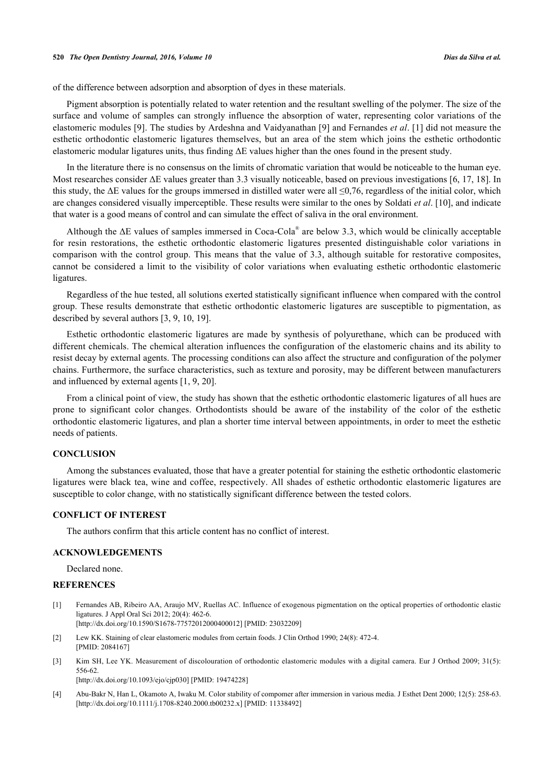### **520** *The Open Dentistry Journal, 2016, Volume 10 Dias da Silva et al.*

of the difference between adsorption and absorption of dyes in these materials.

Pigment absorption is potentially related to water retention and the resultant swelling of the polymer. The size of the surface and volume of samples can strongly influence the absorption of water, representing color variations of the elastomeric modules [\[9](#page-5-1)]. The studies by Ardeshna and Vaidyanathan [[9](#page-5-1)] and Fernandes *et al*. [\[1\]](#page-4-0) did not measure the esthetic orthodontic elastomeric ligatures themselves, but an area of the stem which joins the esthetic orthodontic elastomeric modular ligatures units, thus finding ΔE values higher than the ones found in the present study.

In the literature there is no consensus on the limits of chromatic variation that would be noticeable to the human eye. Most researches consider ΔE values greater than 3.3 visually noticeable, based on previous investigations [[6,](#page-5-6) [17,](#page-5-10) [18\]](#page-5-11). In this study, the  $\Delta E$  values for the groups immersed in distilled water were all  $\leq 0.76$ , regardless of the initial color, which are changes considered visually imperceptible. These results were similar to the ones by Soldati *et al*. [\[10](#page-5-2)], and indicate that water is a good means of control and can simulate the effect of saliva in the oral environment.

Although the  $\Delta E$  values of samples immersed in Coca-Cola® are below 3.3, which would be clinically acceptable for resin restorations, the esthetic orthodontic elastomeric ligatures presented distinguishable color variations in comparison with the control group. This means that the value of 3.3, although suitable for restorative composites, cannot be considered a limit to the visibility of color variations when evaluating esthetic orthodontic elastomeric ligatures.

Regardless of the hue tested, all solutions exerted statistically significant influence when compared with the control group. These results demonstrate that esthetic orthodontic elastomeric ligatures are susceptible to pigmentation, as described by several authors [\[3](#page-4-2), [9](#page-5-1), [10](#page-5-2), [19](#page-5-12)].

Esthetic orthodontic elastomeric ligatures are made by synthesis of polyurethane, which can be produced with different chemicals. The chemical alteration influences the configuration of the elastomeric chains and its ability to resist decay by external agents. The processing conditions can also affect the structure and configuration of the polymer chains. Furthermore, the surface characteristics, such as texture and porosity, may be different between manufacturers and influenced by external agents [[1,](#page-4-0) [9,](#page-5-1) [20\]](#page-5-13).

From a clinical point of view, the study has shown that the esthetic orthodontic elastomeric ligatures of all hues are prone to significant color changes. Orthodontists should be aware of the instability of the color of the esthetic orthodontic elastomeric ligatures, and plan a shorter time interval between appointments, in order to meet the esthetic needs of patients.

# **CONCLUSION**

Among the substances evaluated, those that have a greater potential for staining the esthetic orthodontic elastomeric ligatures were black tea, wine and coffee, respectively. All shades of esthetic orthodontic elastomeric ligatures are susceptible to color change, with no statistically significant difference between the tested colors.

# **CONFLICT OF INTEREST**

The authors confirm that this article content has no conflict of interest.

# **ACKNOWLEDGEMENTS**

Declared none.

# **REFERENCES**

- <span id="page-4-0"></span>[1] Fernandes AB, Ribeiro AA, Araujo MV, Ruellas AC. Influence of exogenous pigmentation on the optical properties of orthodontic elastic ligatures. J Appl Oral Sci 2012; 20(4): 462-6. [\[http://dx.doi.org/10.1590/S1678-77572012000400012\]](http://dx.doi.org/10.1590/S1678-77572012000400012) [PMID: [23032209](http://www.ncbi.nlm.nih.gov/pubmed/23032209)]
- <span id="page-4-1"></span>[2] Lew KK. Staining of clear elastomeric modules from certain foods. J Clin Orthod 1990; 24(8): 472-4. [PMID: [2084167\]](http://www.ncbi.nlm.nih.gov/pubmed/2084167)
- <span id="page-4-2"></span>[3] Kim SH, Lee YK. Measurement of discolouration of orthodontic elastomeric modules with a digital camera. Eur J Orthod 2009; 31(5): 556-62.

[\[http://dx.doi.org/10.1093/ejo/cjp030\]](http://dx.doi.org/10.1093/ejo/cjp030) [PMID: [19474228](http://www.ncbi.nlm.nih.gov/pubmed/19474228)]

[4] Abu-Bakr N, Han L, Okamoto A, Iwaku M. Color stability of compomer after immersion in various media. J Esthet Dent 2000; 12(5): 258-63. [\[http://dx.doi.org/10.1111/j.1708-8240.2000.tb00232.x\]](http://dx.doi.org/10.1111/j.1708-8240.2000.tb00232.x) [PMID: [11338492](http://www.ncbi.nlm.nih.gov/pubmed/11338492)]